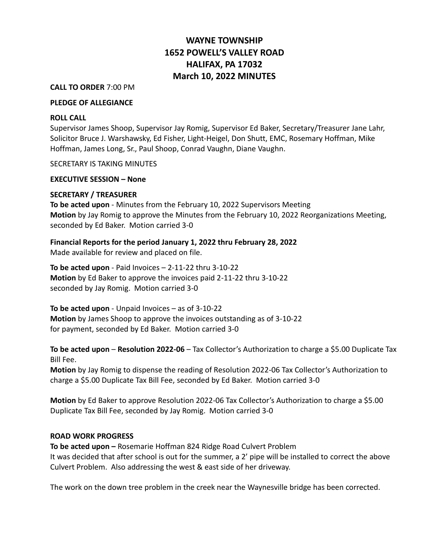# **WAYNE TOWNSHIP 1652 POWELL'S VALLEY ROAD HALIFAX, PA 17032 March 10, 2022 MINUTES**

#### **CALL TO ORDER** 7:00 PM

# **PLEDGE OF ALLEGIANCE**

#### **ROLL CALL**

Supervisor James Shoop, Supervisor Jay Romig, Supervisor Ed Baker, Secretary/Treasurer Jane Lahr, Solicitor Bruce J. Warshawsky, Ed Fisher, Light-Heigel, Don Shutt, EMC, Rosemary Hoffman, Mike Hoffman, James Long, Sr., Paul Shoop, Conrad Vaughn, Diane Vaughn.

SECRETARY IS TAKING MINUTES

**EXECUTIVE SESSION – None**

# **SECRETARY / TREASURER**

**To be acted upon** - Minutes from the February 10, 2022 Supervisors Meeting **Motion** by Jay Romig to approve the Minutes from the February 10, 2022 Reorganizations Meeting, seconded by Ed Baker. Motion carried 3-0

**Financial Reports for the period January 1, 2022 thru February 28, 2022**

Made available for review and placed on file.

**To be acted upon** - Paid Invoices – 2-11-22 thru 3-10-22 **Motion** by Ed Baker to approve the invoices paid 2-11-22 thru 3-10-22 seconded by Jay Romig. Motion carried 3-0

**To be acted upon** - Unpaid Invoices – as of 3-10-22 **Motion** by James Shoop to approve the invoices outstanding as of 3-10-22 for payment, seconded by Ed Baker. Motion carried 3-0

**To be acted upon** – **Resolution 2022-06** – Tax Collector's Authorization to charge a \$5.00 Duplicate Tax Bill Fee.

**Motion** by Jay Romig to dispense the reading of Resolution 2022-06 Tax Collector's Authorization to charge a \$5.00 Duplicate Tax Bill Fee, seconded by Ed Baker. Motion carried 3-0

**Motion** by Ed Baker to approve Resolution 2022-06 Tax Collector's Authorization to charge a \$5.00 Duplicate Tax Bill Fee, seconded by Jay Romig. Motion carried 3-0

# **ROAD WORK PROGRESS**

**To be acted upon –** Rosemarie Hoffman 824 Ridge Road Culvert Problem It was decided that after school is out for the summer, a 2' pipe will be installed to correct the above Culvert Problem. Also addressing the west & east side of her driveway.

The work on the down tree problem in the creek near the Waynesville bridge has been corrected.